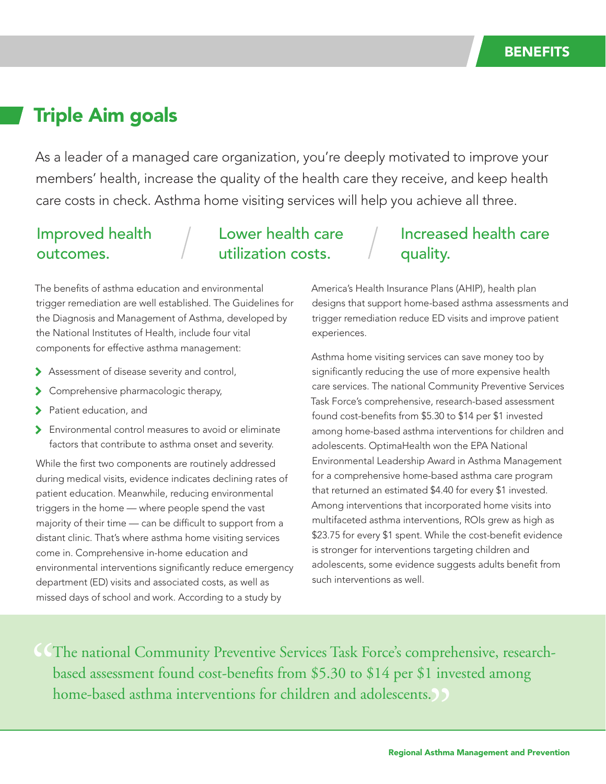# Triple Aim goals

As a leader of a managed care organization, you're deeply motivated to improve your members' health, increase the quality of the health care they receive, and keep health care costs in check. Asthma home visiting services will help you achieve all three.

### Improved health outcomes.

## Lower health care utilization costs.

#### The benefits of asthma education and environmental trigger remediation are well established. The Guidelines for the Diagnosis and Management of Asthma, developed by the National Institutes of Health, include four vital components for effective asthma management:

- > Assessment of disease severity and control,
- > Comprehensive pharmacologic therapy,
- Patient education, and
- Environmental control measures to avoid or eliminate factors that contribute to asthma onset and severity.

While the first two components are routinely addressed during medical visits, evidence indicates declining rates of patient education. Meanwhile, reducing environmental triggers in the home — where people spend the vast majority of their time — can be difficult to support from a distant clinic. That's where asthma home visiting services come in. Comprehensive in-home education and environmental interventions significantly reduce emergency department (ED) visits and associated costs, as well as missed days of school and work. According to a study by

## Increased health care quality.

America's Health Insurance Plans (AHIP), health plan designs that support home-based asthma assessments and trigger remediation reduce ED visits and improve patient experiences.

Asthma home visiting services can save money too by significantly reducing the use of more expensive health care services. The national Community Preventive Services Task Force's comprehensive, research-based assessment found cost-benefits from \$5.30 to \$14 per \$1 invested among home-based asthma interventions for children and adolescents. OptimaHealth won the EPA National Environmental Leadership Award in Asthma Management for a comprehensive home-based asthma care program that returned an estimated \$4.40 for every \$1 invested. Among interventions that incorporated home visits into multifaceted asthma interventions, ROIs grew as high as \$23.75 for every \$1 spent. While the cost-benefit evidence is stronger for interventions targeting children and adolescents, some evidence suggests adults benefit from such interventions as well.

CCThe national Community Preventive Services Task Force's comprehensive, research-<br>based assessment found cost-benefits from \$5.30 to \$14 per \$1 invested among<br>home-based asthma interventions for children and adolescents. based assessment found cost-benefits from \$5.30 to \$14 per \$1 invested among home-based asthma interventions for children and adolescents.